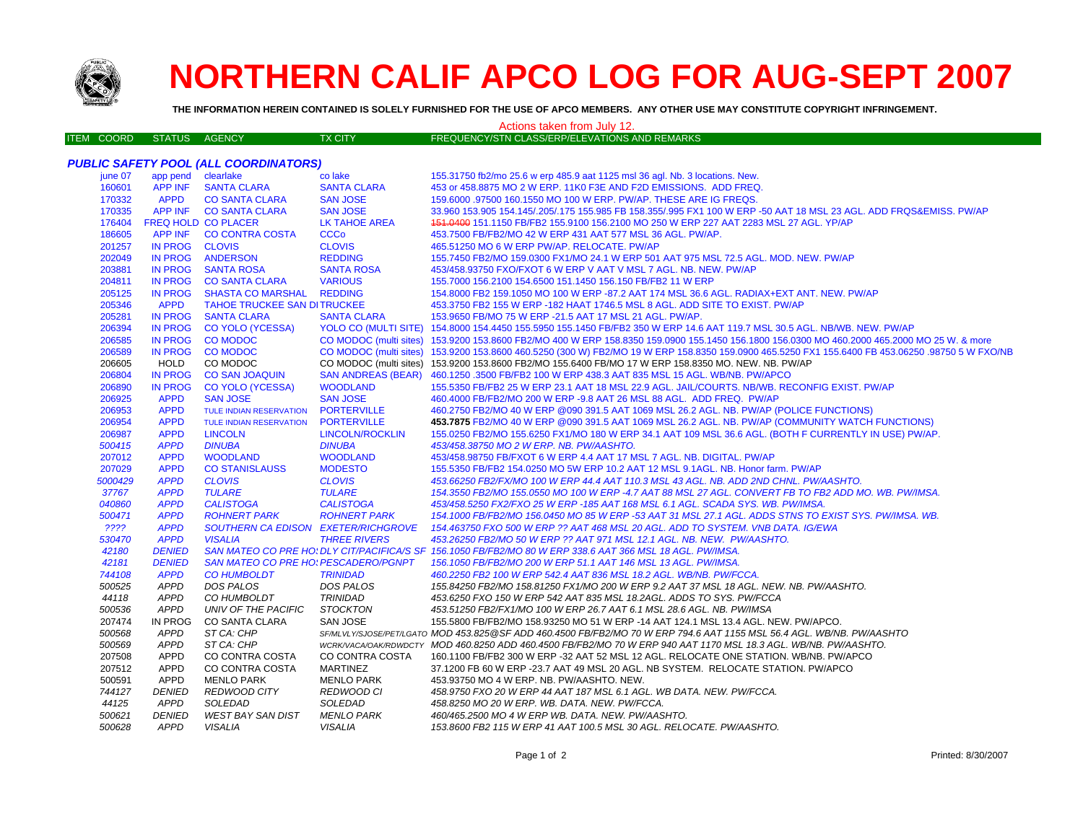

## **NORTHERN CALIF APCO LOG FOR AUG-SEPT 2007**

**THE INFORMATION HEREIN CONTAINED IS SOLELY FURNISHED FOR THE USE OF APCO MEMBERS. ANY OTHER USE MAY CONSTITUTE COPYRIGHT INFRINGEMENT.**

## Actions taken from July 12.

| <b>ITEM COORD</b> | STATUS AGENCY | TX CITY | FREQUENCY/STN CLASS/ERP/ELEVATIONS AND REMARKS |
|-------------------|---------------|---------|------------------------------------------------|
|                   |               |         |                                                |

|         |                    | <b>PUBLIC SAFETY POOL (ALL COORDINATORS)</b> |                           |                                                                                                                                                  |
|---------|--------------------|----------------------------------------------|---------------------------|--------------------------------------------------------------------------------------------------------------------------------------------------|
| june 07 | app pend clearlake |                                              | co lake                   | 155.31750 fb2/mo 25.6 w erp 485.9 aat 1125 msl 36 agl. Nb. 3 locations. New.                                                                     |
| 160601  | <b>APP INF</b>     | <b>SANTA CLARA</b>                           | <b>SANTA CLARA</b>        | 453 or 458.8875 MO 2 W ERP. 11K0 F3E AND F2D EMISSIONS. ADD FREQ.                                                                                |
| 170332  | <b>APPD</b>        | <b>CO SANTA CLARA</b>                        | <b>SAN JOSE</b>           | 159.6000 .97500 160.1550 MO 100 W ERP. PW/AP. THESE ARE IG FREQS.                                                                                |
| 170335  |                    | APP INF CO SANTA CLARA                       | <b>SAN JOSE</b>           | 33.960 153.905 154.145/.205/.175 155.985 FB 158.355/.995 FX1 100 W ERP -50 AAT 18 MSL 23 AGL. ADD FRQS&EMISS. PW/AP                              |
| 176404  |                    | <b>FREQ HOLD CO PLACER</b>                   | LK TAHOE AREA             | 451.0400 151.1150 FB/FB2 155.9100 156.2100 MO 250 W ERP 227 AAT 2283 MSL 27 AGL. YP/AP                                                           |
| 186605  | <b>APP INF</b>     | <b>CO CONTRA COSTA</b>                       | <b>CCCo</b>               | 453.7500 FB/FB2/MO 42 W ERP 431 AAT 577 MSL 36 AGL. PW/AP.                                                                                       |
| 201257  | IN PROG            | <b>CLOVIS</b>                                | <b>CLOVIS</b>             | 465.51250 MO 6 W ERP PW/AP. RELOCATE. PW/AP                                                                                                      |
| 202049  | <b>IN PROG</b>     | <b>ANDERSON</b>                              | <b>REDDING</b>            | 155.7450 FB2/MO 159.0300 FX1/MO 24.1 W ERP 501 AAT 975 MSL 72.5 AGL. MOD. NEW. PW/AP                                                             |
| 203881  | <b>IN PROG</b>     | <b>SANTA ROSA</b>                            | <b>SANTA ROSA</b>         | 453/458.93750 FXO/FXOT 6 W ERP V AAT V MSL 7 AGL. NB. NEW. PW/AP                                                                                 |
| 204811  | <b>IN PROG</b>     | <b>CO SANTA CLARA</b>                        | <b>VARIOUS</b>            | 155.7000 156.2100 154.6500 151.1450 156.150 FB/FB2 11 W ERP                                                                                      |
| 205125  | <b>IN PROG</b>     | <b>SHASTA CO MARSHAL</b>                     | <b>REDDING</b>            | 154.8000 FB2 159.1050 MO 100 W ERP -87.2 AAT 174 MSL 36.6 AGL. RADIAX+EXT ANT. NEW. PW/AP                                                        |
| 205346  | <b>APPD</b>        | <b>TAHOE TRUCKEE SAN DITRUCKEE</b>           |                           | 453.3750 FB2 155 W ERP -182 HAAT 1746.5 MSL 8 AGL. ADD SITE TO EXIST. PW/AP                                                                      |
| 205281  | IN PROG            | <b>SANTA CLARA</b>                           | <b>SANTA CLARA</b>        | 153.9650 FB/MO 75 W ERP -21.5 AAT 17 MSL 21 AGL. PW/AP.                                                                                          |
| 206394  | <b>IN PROG</b>     | <b>CO YOLO (YCESSA)</b>                      |                           | YOLO CO (MULTI SITE) 154.8000 154.4450 155.5950 155.1450 FB/FB2 350 W ERP 14.6 AAT 119.7 MSL 30.5 AGL. NB/WB. NEW. PW/AP                         |
| 206585  | <b>IN PROG</b>     | <b>CO MODOC</b>                              |                           | CO MODOC (multi sites) 153.9200 153.8600 FB2/MO 400 W ERP 158.8350 159.0900 155.1450 156.1800 156.0300 MO 460.2000 465.2000 MO 25 W. & more      |
| 206589  | <b>IN PROG</b>     | <b>CO MODOC</b>                              |                           | CO MODOC (multi sites) 153.9200 153.8600 460.5250 (300 W) FB2/MO 19 W ERP 158.8350 159.0900 465.5250 FX1 155.6400 FB 453.06250 .98750 5 W FXO/NB |
| 206605  | <b>HOLD</b>        | CO MODOC                                     |                           | CO MODOC (multi sites) 153.9200 153.8600 FB2/MO 155.6400 FB/MO 17 W ERP 158.8350 MO. NEW. NB. PW/AP                                              |
| 206804  | <b>IN PROG</b>     | <b>CO SAN JOAQUIN</b>                        | <b>SAN ANDREAS (BEAR)</b> | 460.1250 .3500 FB/FB2 100 W ERP 438.3 AAT 835 MSL 15 AGL. WB/NB. PW/APCO                                                                         |
| 206890  | <b>IN PROG</b>     | <b>CO YOLO (YCESSA)</b>                      | <b>WOODLAND</b>           | 155.5350 FB/FB2 25 W ERP 23.1 AAT 18 MSL 22.9 AGL. JAIL/COURTS, NB/WB, RECONFIG EXIST, PW/AP                                                     |
| 206925  | <b>APPD</b>        | <b>SAN JOSE</b>                              | <b>SAN JOSE</b>           | 460.4000 FB/FB2/MO 200 W ERP -9.8 AAT 26 MSL 88 AGL. ADD FREQ. PW/AP                                                                             |
| 206953  | <b>APPD</b>        | <b>TULE INDIAN RESERVATION</b>               | <b>PORTERVILLE</b>        | 460.2750 FB2/MO 40 W ERP @090 391.5 AAT 1069 MSL 26.2 AGL. NB. PW/AP (POLICE FUNCTIONS)                                                          |
| 206954  | <b>APPD</b>        | TULE INDIAN RESERVATION                      | <b>PORTERVILLE</b>        | 453.7875 FB2/MO 40 W ERP @090 391.5 AAT 1069 MSL 26.2 AGL. NB. PW/AP (COMMUNITY WATCH FUNCTIONS)                                                 |
| 206987  | <b>APPD</b>        | <b>LINCOLN</b>                               | <b>LINCOLN/ROCKLIN</b>    | 155.0250 FB2/MO 155.6250 FX1/MO 180 W ERP 34.1 AAT 109 MSL 36.6 AGL. (BOTH F CURRENTLY IN USE) PW/AP.                                            |
| 500415  | <b>APPD</b>        | <b>DINUBA</b>                                | <b>DINUBA</b>             | 453/458.38750 MO 2 W ERP. NB. PW/AASHTO.                                                                                                         |
| 207012  | <b>APPD</b>        | <b>WOODLAND</b>                              | <b>WOODLAND</b>           | 453/458.98750 FB/FXOT 6 W ERP 4.4 AAT 17 MSL 7 AGL. NB. DIGITAL. PW/AP                                                                           |
| 207029  | <b>APPD</b>        | <b>CO STANISLAUSS</b>                        | <b>MODESTO</b>            | 155.5350 FB/FB2 154.0250 MO 5W ERP 10.2 AAT 12 MSL 9.1AGL, NB, Honor farm, PW/AP                                                                 |
| 5000429 | <b>APPD</b>        | <b>CLOVIS</b>                                | <b>CLOVIS</b>             | 453.66250 FB2/FX/MO 100 W ERP 44.4 AAT 110.3 MSL 43 AGL. NB. ADD 2ND CHNL. PW/AASHTO.                                                            |
| 37767   | <b>APPD</b>        | <b>TULARE</b>                                | <b>TULARE</b>             | 154.3550 FB2/MO 155.0550 MO 100 W ERP -4.7 AAT 88 MSL 27 AGL. CONVERT FB TO FB2 ADD MO. WB. PW/IMSA.                                             |
| 040860  | <b>APPD</b>        | <b>CALISTOGA</b>                             | <b>CALISTOGA</b>          | 453/458.5250 FX2/FXO 25 W ERP -185 AAT 168 MSL 6.1 AGL. SCADA SYS. WB. PW/IMSA.                                                                  |
| 500471  | <b>APPD</b>        | <b>ROHNERT PARK</b>                          | <b>ROHNERT PARK</b>       | 154.1000 FB/FB2/MO 156.0450 MO 85 W ERP -53 AAT 31 MSL 27.1 AGL. ADDS STNS TO EXIST SYS. PW/IMSA. WB.                                            |
| ????    | <b>APPD</b>        | SOUTHERN CA EDISON EXETER/RICHGROVE          |                           | 154.463750 FXO 500 W ERP ?? AAT 468 MSL 20 AGL. ADD TO SYSTEM. VNB DATA. IG/EWA                                                                  |
| 530470  | <b>APPD</b>        | <b>VISALIA</b>                               | <b>THREE RIVERS</b>       | 453.26250 FB2/MO 50 W ERP ?? AAT 971 MSL 12.1 AGL. NB. NEW. PW/AASHTO.                                                                           |
| 42180   | <b>DENIED</b>      |                                              |                           | SAN MATEO CO PRE HO! DLY CIT/PACIFICA/S SF 156.1050 FB/FB2/MO 80 W ERP 338.6 AAT 366 MSL 18 AGL. PW/IMSA.                                        |
| 42181   | <b>DENIED</b>      | <b>SAN MATEO CO PRE HO: PESCADERO/PGNPT</b>  |                           | 156.1050 FB/FB2/MO 200 W ERP 51.1 AAT 146 MSL 13 AGL. PW/IMSA.                                                                                   |
| 744108  | <b>APPD</b>        | <b>CO HUMBOLDT</b>                           | <b>TRINIDAD</b>           | 460.2250 FB2 100 W ERP 542.4 AAT 836 MSL 18.2 AGL. WB/NB. PW/FCCA.                                                                               |
| 500525  | APPD               | DOS PALOS                                    | DOS PALOS                 | 155.84250 FB2/MO 158.81250 FX1/MO 200 W ERP 9.2 AAT 37 MSL 18 AGL. NEW. NB. PW/AASHTO.                                                           |
| 44118   | <b>APPD</b>        | CO HUMBOLDT                                  | <b>TRINIDAD</b>           | 453.6250 FXO 150 W ERP 542 AAT 835 MSL 18.2AGL. ADDS TO SYS. PW/FCCA                                                                             |
| 500536  | APPD               | UNIV OF THE PACIFIC                          | STOCKTON                  | 453.51250 FB2/FX1/MO 100 W ERP 26.7 AAT 6.1 MSL 28.6 AGL. NB. PW/IMSA                                                                            |
| 207474  | <b>IN PROG</b>     | CO SANTA CLARA                               | SAN JOSE                  | 155.5800 FB/FB2/MO 158.93250 MO 51 W ERP -14 AAT 124.1 MSL 13.4 AGL. NEW. PW/APCO.                                                               |
| 500568  | <b>APPD</b>        | ST CA: CHP                                   |                           | SF/MLVLY/SJOSE/PET/LGATO MOD 453.825@SF ADD 460.4500 FB/FB2/MO 70 W ERP 794.6 AAT 1155 MSL 56.4 AGL. WB/NB. PW/AASHTO                            |
| 500569  | <b>APPD</b>        | ST CA: CHP                                   |                           | WCRKVACA/OAK/RDWDCTY MOD 460.8250 ADD 460.4500 FB/FB2/MO 70 W ERP 940 AAT 1170 MSL 18.3 AGL. WB/NB. PW/AASHTO.                                   |
| 207508  | APPD               | CO CONTRA COSTA                              | CO CONTRA COSTA           | 160.1100 FB/FB2 300 W ERP -32 AAT 52 MSL 12 AGL. RELOCATE ONE STATION. WB/NB. PW/APCO                                                            |
| 207512  | APPD               | CO CONTRA COSTA                              | <b>MARTINEZ</b>           | 37.1200 FB 60 W ERP -23.7 AAT 49 MSL 20 AGL. NB SYSTEM. RELOCATE STATION. PW/APCO                                                                |
| 500591  | APPD               | <b>MENLO PARK</b>                            | <b>MENLO PARK</b>         | 453.93750 MO 4 W ERP. NB. PW/AASHTO. NEW.                                                                                                        |
| 744127  | <b>DENIED</b>      | REDWOOD CITY                                 | REDWOOD CI                | 458.9750 FXO 20 W ERP 44 AAT 187 MSL 6.1 AGL. WB DATA. NEW. PW/FCCA.                                                                             |
| 44125   | APPD               | SOLEDAD                                      | SOLEDAD                   | 458.8250 MO 20 W ERP. WB. DATA. NEW. PW/FCCA.                                                                                                    |
| 500621  | <b>DENIED</b>      | <b>WEST BAY SAN DIST</b>                     | <b>MENLO PARK</b>         | 460/465.2500 MO 4 W ERP WB. DATA. NEW. PW/AASHTO.                                                                                                |
| 500628  | <b>APPD</b>        | VISALIA                                      | <b>VISALIA</b>            | 153.8600 FB2 115 W ERP 41 AAT 100.5 MSL 30 AGL. RELOCATE. PW/AASHTO.                                                                             |